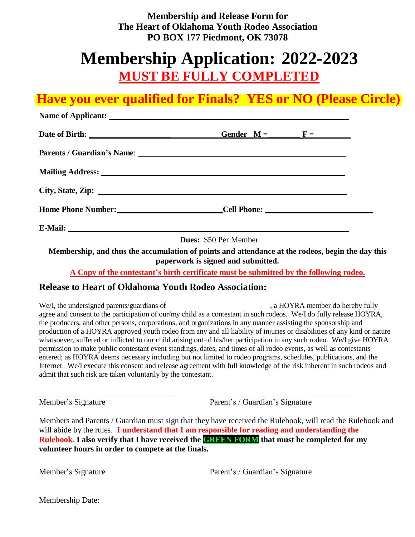**Membership and Release Form for The Heart of Oklahoma Youth Rodeo Association PO BOX 177 Piedmont, OK 73078**

# **Membership Application: 2022-2023 MUST BE FULLY COMPLETED**

## **Have you ever qualified for Finals? YES or NO (Please Circle)**

| Name of Applicant: Name of Applicant:                                                                          |  |  |
|----------------------------------------------------------------------------------------------------------------|--|--|
| Date of Birth: Gender $M = \frac{F}{F}$                                                                        |  |  |
|                                                                                                                |  |  |
| Mailing Address: 1988 and 2008 and 2008 and 2008 and 2008 and 2008 and 2008 and 2008 and 2008 and 2008 and 200 |  |  |
|                                                                                                                |  |  |
| Home Phone Number: Cell Phone: Cell Phone:                                                                     |  |  |
|                                                                                                                |  |  |

**Dues:** \$50 Per Member

**Membership, and thus the accumulation of points and attendance at the rodeos, begin the day this paperwork is signed and submitted.** 

**A Copy of the contestant's birth certificate must be submitted by the following rodeo.**

## **Release to Heart of Oklahoma Youth Rodeo Association:**

We/I, the undersigned parents/guardians of , a HOYRA member do hereby fully agree and consent to the participation of our/my child as a contestant in such rodeos. We/I do fully release HOYRA, the producers, and other persons, corporations, and organizations in any manner assisting the sponsorship and production of a HOYRA approved youth rodeo from any and all liability of injuries or disabilities of any kind or nature whatsoever, suffered or inflicted to our child arising out of his/her participation in any such rodeo. We/I give HOYRA permission to make public contestant event standings, dates, and times of all rodeo events, as well as contestants entered; as HOYRA deems necessary including but not limited to rodeo programs, schedules, publications, and the Internet. We/I execute this consent and release agreement with full knowledge of the risk inherent in such rodeos and admit that such risk are taken voluntarily by the contestant.

Member's Signature Parent's / Guardian's Signature

Members and Parents / Guardian must sign that they have received the Rulebook, will read the Rulebook and will abide by the rules. **I understand that I am responsible for reading and understanding the Rulebook.** I also verify that I have received the **GREEN FORM** that must be completed for my **volunteer hours in order to compete at the finals.** 

Member's Signature Parent's / Guardian's Signature

| <b>Membership Date:</b> |  |  |  |  |  |
|-------------------------|--|--|--|--|--|
|-------------------------|--|--|--|--|--|